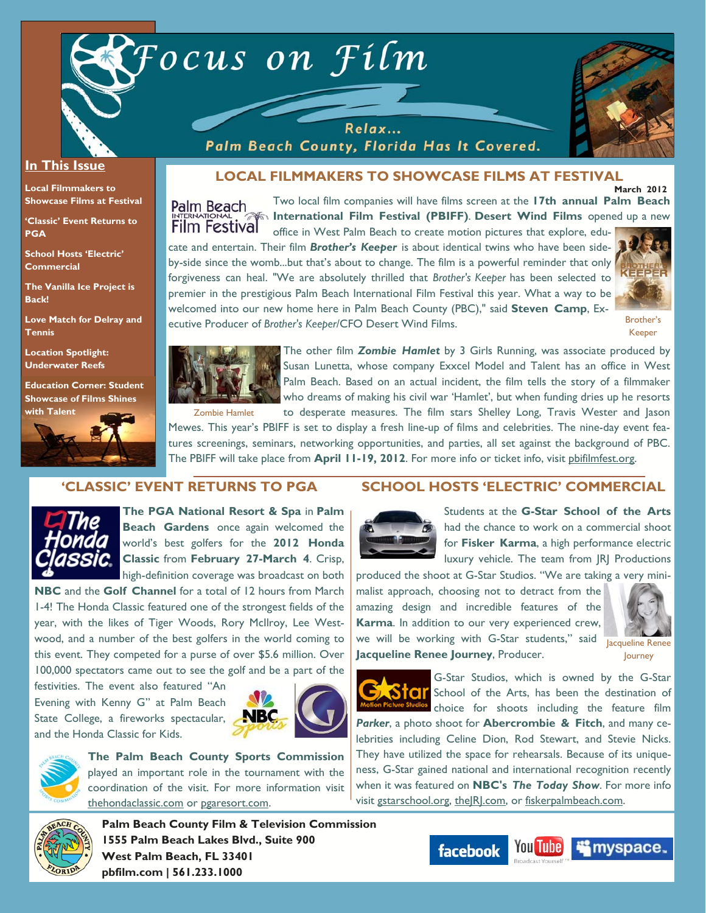



#### **In This Issue**

**Local Filmmakers to Showcase Films at Festival** 

**'Classic' Event Returns to PGA** 

**School Hosts 'Electric' Commercial** 

**The Vanilla Ice Project is Back!** 

**Love Match for Delray and Tennis** 

**Location Spotlight: Underwater Reefs** 

**Education Corner: Student Showcase of Films Shines** 



 **March 2012 LOCAL FILMMAKERS TO SHOWCASE FILMS AT FESTIVAL** 

Two local film companies will have films screen at the **17th annual Palm Beach**  Palm Beach **International Film Festival (PBIFF)**. **Desert Wind Films** opened up a new **Film Festival** 

office in West Palm Beach to create motion pictures that explore, educate and entertain. Their film *Brother's Keeper* is about identical twins who have been sideby-side since the womb...but that's about to change. The film is a powerful reminder that only forgiveness can heal. "We are absolutely thrilled that *Brother's Keeper* has been selected to premier in the prestigious Palm Beach International Film Festival this year. What a way to be welcomed into our new home here in Palm Beach County (PBC)," said **Steven Camp**, Executive Producer of *Brother's Keeper*/CFO Desert Wind Films.

Relax... Palm Beach County, Florida Has It Covered.



Brother's Keeper



The other film *Zombie Hamlet* by 3 Girls Running, was associate produced by Susan Lunetta, whose company Exxcel Model and Talent has an office in West Palm Beach. Based on an actual incident, the film tells the story of a filmmaker who dreams of making his civil war 'Hamlet', but when funding dries up he resorts to desperate measures. The film stars Shelley Long, Travis Wester and Jason

Mewes. This year's PBIFF is set to display a fresh line-up of films and celebrities. The nine-day event features screenings, seminars, networking opportunities, and parties, all set against the background of PBC. The PBIFF will take place from **April 11-19, 2012**. For more info or ticket info, visit pbifilmfest.org.

# **'CLASSIC' EVENT RETURNS TO PGA**



**The PGA National Resort & Spa** in **Palm Beach Gardens** once again welcomed the world's best golfers for the **2012 Honda Classic** from **February 27-March 4**. Crisp, high-definition coverage was broadcast on both

**NBC** and the **Golf Channel** for a total of 12 hours from March 1-4! The Honda Classic featured one of the strongest fields of the year, with the likes of Tiger Woods, Rory McIlroy, Lee Westwood, and a number of the best golfers in the world coming to this event. They competed for a purse of over \$5.6 million. Over 100,000 spectators came out to see the golf and be a part of the

festivities. The event also featured "An Evening with Kenny G" at Palm Beach State College, a fireworks spectacular, and the Honda Classic for Kids.



**The Palm Beach County Sports Commission**  played an important role in the tournament with the coordination of the visit. For more information visit thehondaclassic.com or pgaresort.com.





Students at the **G-Star School of the Arts** had the chance to work on a commercial shoot for **Fisker Karma**, a high performance electric luxury vehicle. The team from JRJ Productions

produced the shoot at G-Star Studios. "We are taking a very minimalist approach, choosing not to detract from the amazing design and incredible features of the **Karma**. In addition to our very experienced crew, we will be working with G-Star students," said Jacqueline Renee **Jacqueline Renee Journey**, Producer.



Journey



G-Star Studios, which is owned by the G-Star School of the Arts, has been the destination of choice for shoots including the feature film

*Parker*, a photo shoot for **Abercrombie & Fitch**, and many celebrities including Celine Dion, Rod Stewart, and Stevie Nicks. They have utilized the space for rehearsals. Because of its uniqueness, G-Star gained national and international recognition recently when it was featured on **NBC's** *The Today Show*. For more info visit gstarschool.org, theJRJ.com, or fiskerpalmbeach.com.



**Palm Beach County Film & Television Commission 1555 Palm Beach Lakes Blvd., Suite 900 West Palm Beach, FL 33401 pbfilm.com | 561.233.1000** 



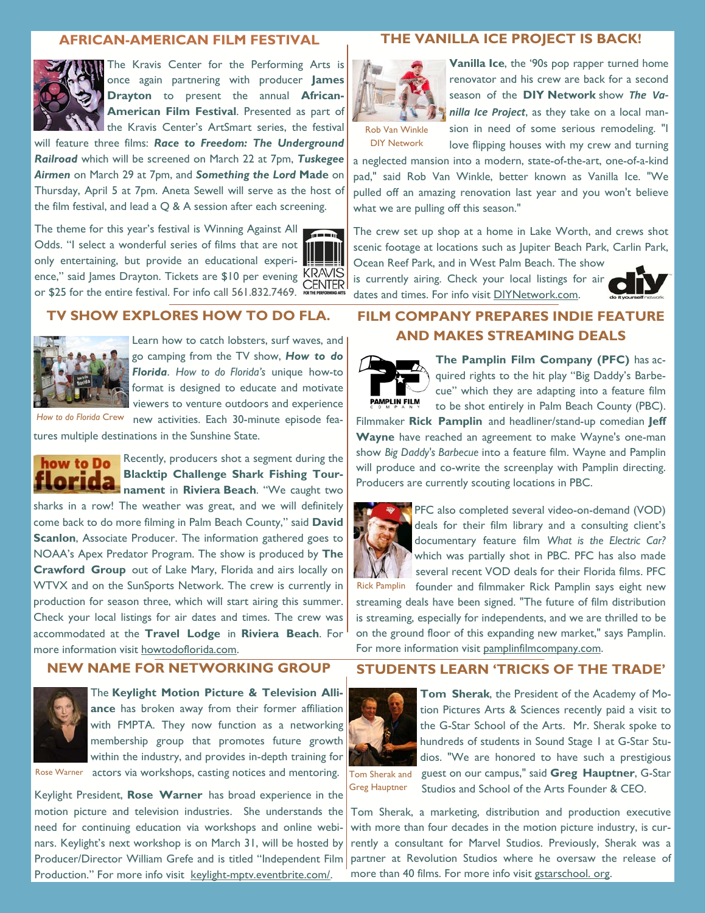#### **AFRICAN-AMERICAN FILM FESTIVAL**



The Kravis Center for the Performing Arts is once again partnering with producer **James Drayton** to present the annual **African-American Film Festival**. Presented as part of the Kravis Center's ArtSmart series, the festival

will feature three films: *Race to Freedom: The Underground Railroad* which will be screened on March 22 at 7pm, *Tuskegee Airmen* on March 29 at 7pm, and *Something the Lord* **Made** on Thursday, April 5 at 7pm. Aneta Sewell will serve as the host of the film festival, and lead a  $Q & A$  session after each screening.

The theme for this year's festival is Winning Against All Odds. "I select a wonderful series of films that are not only entertaining, but provide an educational experience," said James Drayton. Tickets are \$10 per evening KRAVIS or \$25 for the entire festival. For info call 561.832.7469.



### **TV SHOW EXPLORES HOW TO DO FLA.**



Learn how to catch lobsters, surf waves, and go camping from the TV show, *How to do Florida*. *How to do Florida's* unique how-to format is designed to educate and motivate viewers to venture outdoors and experience

How to do Florida Crew new activities. Each 30-minute episode features multiple destinations in the Sunshine State.



Recently, producers shot a segment during the **Blacktip Challenge Shark Fishing Tourflorida** nament in Riviera Beach. "We caught two

sharks in a row! The weather was great, and we will definitely come back to do more filming in Palm Beach County," said **David Scanlon**, Associate Producer. The information gathered goes to NOAA's Apex Predator Program. The show is produced by **The Crawford Group** out of Lake Mary, Florida and airs locally on WTVX and on the SunSports Network. The crew is currently in production for season three, which will start airing this summer. Check your local listings for air dates and times. The crew was accommodated at the **Travel Lodge** in **Riviera Beach**. For more information visit howtodoflorida.com.

# **NEW NAME FOR NETWORKING GROUP**



The **Keylight Motion Picture & Television Alliance** has broken away from their former affiliation with FMPTA. They now function as a networking membership group that promotes future growth within the industry, and provides in-depth training for Rose Warner actors via workshops, casting notices and mentoring.

Keylight President, **Rose Warner** has broad experience in the motion picture and television industries. She understands the Tom Sherak, a marketing, distribution and production executive need for continuing education via workshops and online webinars. Keylight's next workshop is on March 31, will be hosted by Producer/Director William Grefe and is titled "Independent Film Production." For more info visit keylight-mptv.eventbrite.com/.

# **THE VANILLA ICE PROJECT IS BACK!**



**Vanilla Ice**, the '90s pop rapper turned home renovator and his crew are back for a second season of the **DIY Network** show *The Va‐ nilla Ice Project*, as they take on a local mansion in need of some serious remodeling. "I

love flipping houses with my crew and turning

Rob Van Winkle DIY Network

a neglected mansion into a modern, state-of-the-art, one-of-a-kind pad," said Rob Van Winkle, better known as Vanilla Ice. "We pulled off an amazing renovation last year and you won't believe what we are pulling off this season."

The crew set up shop at a home in Lake Worth, and crews shot scenic footage at locations such as Jupiter Beach Park, Carlin Park, Ocean Reef Park, and in West Palm Beach. The show

is currently airing. Check your local listings for air dates and times. For info visit DIYNetwork.com.



# **FILM COMPANY PREPARES INDIE FEATURE AND MAKES STREAMING DEALS**

**PAMPLIN FILM** 

**The Pamplin Film Company (PFC)** has acquired rights to the hit play "Big Daddy's Barbecue" which they are adapting into a feature film to be shot entirely in Palm Beach County (PBC).

Filmmaker **Rick Pamplin** and headliner/stand-up comedian **Jeff Wayne** have reached an agreement to make Wayne's one-man show *Big Daddy's Barbecue* into a feature film. Wayne and Pamplin will produce and co-write the screenplay with Pamplin directing. Producers are currently scouting locations in PBC.



PFC also completed several video-on-demand (VOD) deals for their film library and a consulting client's documentary feature film *What is the Electric Car?*  which was partially shot in PBC. PFC has also made several recent VOD deals for their Florida films. PFC

Rick Pamplin founder and filmmaker Rick Pamplin says eight new streaming deals have been signed. "The future of film distribution is streaming, especially for independents, and we are thrilled to be on the ground floor of this expanding new market," says Pamplin. For more information visit pamplinfilmcompany.com.

# **STUDENTS LEARN 'TRICKS OF THE TRADE'**



**Tom Sherak**, the President of the Academy of Motion Pictures Arts & Sciences recently paid a visit to the G-Star School of the Arts. Mr. Sherak spoke to hundreds of students in Sound Stage 1 at G-Star Studios. "We are honored to have such a prestigious

Tom Sherak and Greg Hauptner

guest on our campus," said **Greg Hauptner**, G-Star Studios and School of the Arts Founder & CEO.

with more than four decades in the motion picture industry, is currently a consultant for Marvel Studios. Previously, Sherak was a partner at Revolution Studios where he oversaw the release of more than 40 films. For more info visit gstarschool. org.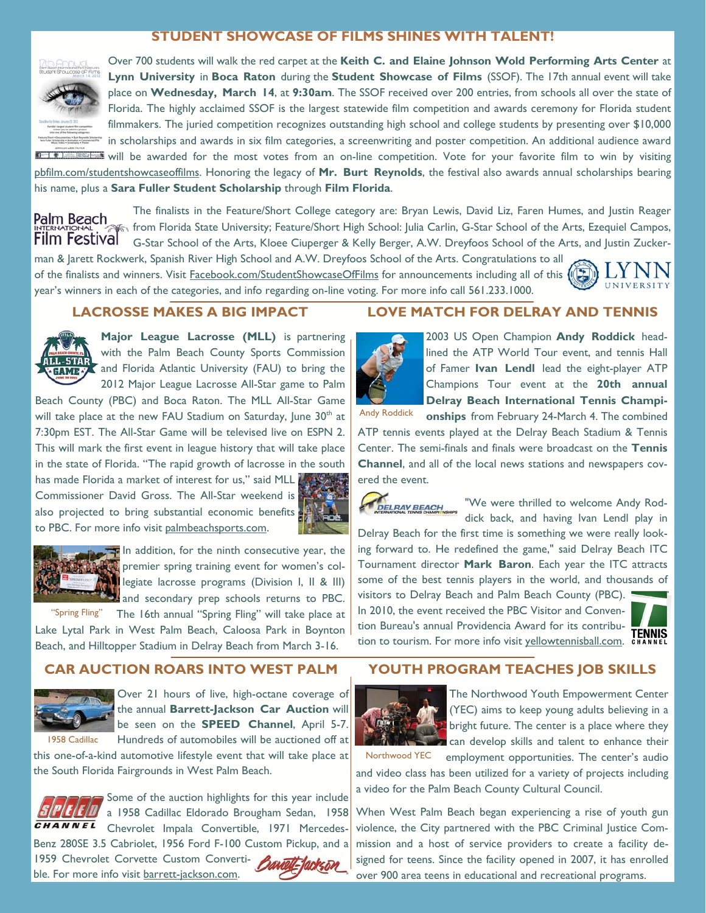# **STUDENT SHOWCASE OF FILMS SHINES WITH TALENT!**



Over 700 students will walk the red carpet at the **Keith C. and Elaine Johnson Wold Performing Arts Center** at **Lynn University** in **Boca Raton** during the **Student Showcase of Films** (SSOF). The 17th annual event will take place on **Wednesday, March 14**, at **9:30am**. The SSOF received over 200 entries, from schools all over the state of Florida. The highly acclaimed SSOF is the largest statewide film competition and awards ceremony for Florida student filmmakers. The juried competition recognizes outstanding high school and college students by presenting over \$10,000 in scholarships and awards in six film categories, a screenwriting and poster competition. An additional audience award will be awarded for the most votes from an on-line competition. Vote for your favorite film to win by visiting pbfilm.com/studentshowcaseoffilms. Honoring the legacy of **Mr. Burt Reynolds**, the festival also awards annual scholarships bearing his name, plus a **Sara Fuller Student Scholarship** through **Film Florida**.

Palm Beach **Film Festival** 

The finalists in the Feature/Short College category are: Bryan Lewis, David Liz, Faren Humes, and Justin Reager from Florida State University; Feature/Short High School: Julia Carlin, G-Star School of the Arts, Ezequiel Campos, G-Star School of the Arts, Kloee Ciuperger & Kelly Berger, A.W. Dreyfoos School of the Arts, and Justin Zuckerman & Jarett Rockwerk, Spanish River High School and A.W. Dreyfoos School of the Arts. Congratulations to all

of the finalists and winners. Visit Facebook.com/StudentShowcaseOfFilms for announcements including all of this  $\sqrt{2}$ year's winners in each of the categories, and info regarding on-line voting. For more info call 561.233.1000.

### **LACROSSE MAKES A BIG IMPACT**



**Major League Lacrosse (MLL)** is partnering with the Palm Beach County Sports Commission and Florida Atlantic University (FAU) to bring the 2012 Major League Lacrosse All-Star game to Palm

Beach County (PBC) and Boca Raton. The MLL All-Star Game will take place at the new FAU Stadium on Saturday, June  $30<sup>th</sup>$  at 7:30pm EST. The All-Star Game will be televised live on ESPN 2. This will mark the first event in league history that will take place in the state of Florida. "The rapid growth of lacrosse in the south has made Florida a market of interest for us," said MLL Commissioner David Gross. The All-Star weekend is also projected to bring substantial economic benefits

to PBC. For more info visit palmbeachsports.com.



In addition, for the ninth consecutive year, the premier spring training event for women's col**legiate lacrosse programs (Division I, II & III)** and secondary prep schools returns to PBC.

"Spring Fling" The 16th annual "Spring Fling" will take place at Lake Lytal Park in West Palm Beach, Caloosa Park in Boynton Beach, and Hilltopper Stadium in Delray Beach from March 3-16.

# **CAR AUCTION ROARS INTO WEST PALM**



Over 21 hours of live, high-octane coverage of the annual **Barrett-Jackson Car Auction** will be seen on the **SPEED Channel**, April 5-7. Hundreds of automobiles will be auctioned off at

this one-of-a-kind automotive lifestyle event that will take place at the South Florida Fairgrounds in West Palm Beach. 1958 Cadillac



Some of the auction highlights for this year include a 1958 Cadillac Eldorado Brougham Sedan, 1958 Chevrolet Impala Convertible, 1971 Mercedes-Benz 280SE 3.5 Cabriolet, 1956 Ford F-100 Custom Pickup, and a 1959 Chevrolet Corvette Custom Convertible. For more info visit barrett-jackson.com.

# **LOVE MATCH FOR DELRAY AND TENNIS**



2003 US Open Champion **Andy Roddick** headlined the ATP World Tour event, and tennis Hall of Famer **Ivan Lendl** lead the eight-player ATP Champions Tour event at the **20th annual Delray Beach International Tennis Champi-**

**onships** from February 24-March 4. The combined ATP tennis events played at the Delray Beach Stadium & Tennis Center. The semi-finals and finals were broadcast on the **Tennis Channel**, and all of the local news stations and newspapers covered the event. Andy Roddick

DELRAY BEACH

"We were thrilled to welcome Andy Roddick back, and having Ivan Lendl play in

Delray Beach for the first time is something we were really looking forward to. He redefined the game," said Delray Beach ITC Tournament director **Mark Baron**. Each year the ITC attracts some of the best tennis players in the world, and thousands of

visitors to Delray Beach and Palm Beach County (PBC). In 2010, the event received the PBC Visitor and Convention Bureau's annual Providencia Award for its contribution bureau's annuary revidence Award for its contribu-<br>tion to tourism. For more info visit yellowtennisball.com. CHANNEL



UNIVERSITY

# **YOUTH PROGRAM TEACHES JOB SKILLS**



The Northwood Youth Empowerment Center (YEC) aims to keep young adults believing in a bright future. The center is a place where they can develop skills and talent to enhance their

Northwood YEC

employment opportunities. The center's audio and video class has been utilized for a variety of projects including a video for the Palm Beach County Cultural Council.

When West Palm Beach began experiencing a rise of youth gun violence, the City partnered with the PBC Criminal Justice Commission and a host of service providers to create a facility designed for teens. Since the facility opened in 2007, it has enrolled over 900 area teens in educational and recreational programs.